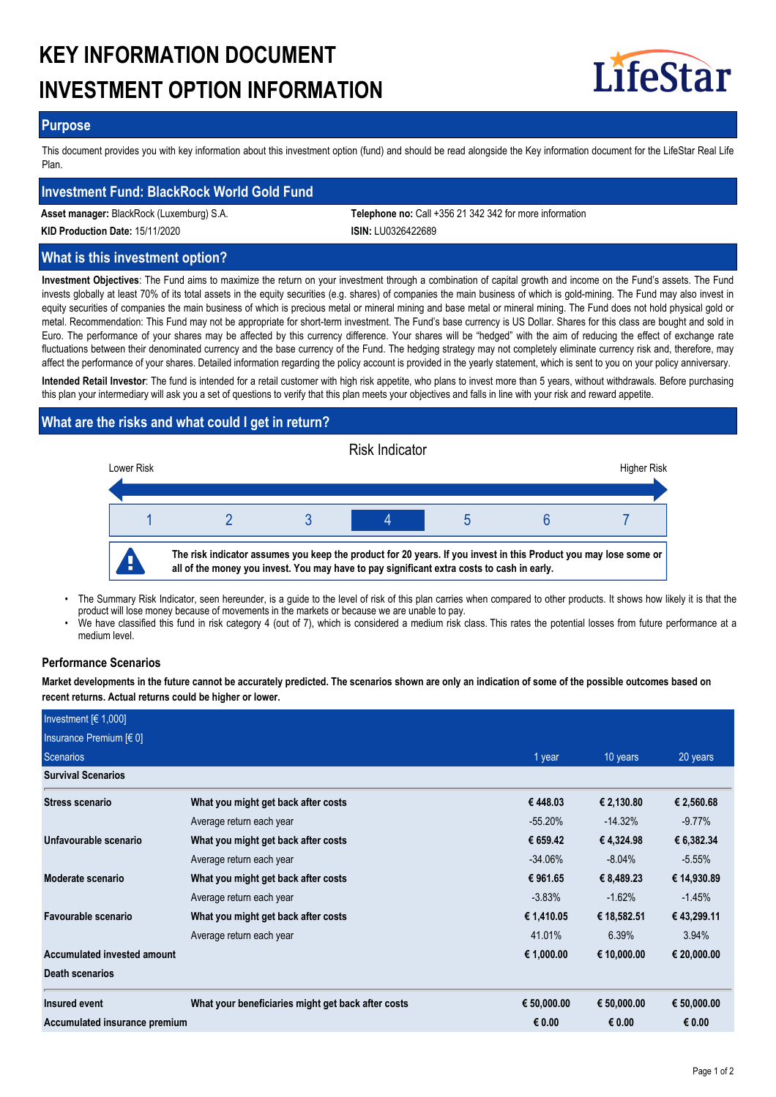# **KEY INFORMATION DOCUMENT INVESTMENT OPTION INFORMATION**



## **Purpose**

This document provides you with key information about this investment option (fund) and should be read alongside the Key information document for the LifeStar Real Life Plan.

## **Investment Fund: BlackRock World Gold Fund**

**Asset manager:** BlackRock (Luxemburg) S.A. **Telephone no:** Call +356 21 342 342 for more information

**KID Production Date:** 15/11/2020 **ISIN:** LU0326422689

# **What is this investment option?**

**Investment Objectives**: The Fund aims to maximize the return on your investment through a combination of capital growth and income on the Fund's assets. The Fund invests globally at least 70% of its total assets in the equity securities (e.g. shares) of companies the main business of which is gold-mining. The Fund may also invest in equity securities of companies the main business of which is precious metal or mineral mining and base metal or mineral mining. The Fund does not hold physical gold or metal. Recommendation: This Fund may not be appropriate for short-term investment. The Fund's base currency is US Dollar. Shares for this class are bought and sold in Euro. The performance of your shares may be affected by this currency difference. Your shares will be "hedged" with the aim of reducing the effect of exchange rate fluctuations between their denominated currency and the base currency of the Fund. The hedging strategy may not completely eliminate currency risk and, therefore, may affect the performance of your shares. Detailed information regarding the policy account is provided in the yearly statement, which is sent to you on your policy anniversary.

**Intended Retail Investor**: The fund is intended for a retail customer with high risk appetite, who plans to invest more than 5 years, without withdrawals. Before purchasing this plan your intermediary will ask you a set of questions to verify that this plan meets your objectives and falls in line with your risk and reward appetite.

# **What are the risks and what could I get in return?**



- The Summary Risk Indicator, seen hereunder, is a guide to the level of risk of this plan carries when compared to other products. It shows how likely it is that the product will lose money because of movements in the markets or because we are unable to pay. •
- We have classified this fund in risk category 4 (out of 7), which is considered a medium risk class. This rates the potential losses from future performance at a medium level. •

#### **Performance Scenarios**

**Market developments in the future cannot be accurately predicted. The scenarios shown are only an indication of some of the possible outcomes based on recent returns. Actual returns could be higher or lower.**

| Investment $F(1,000]$         |                                                    |             |             |             |
|-------------------------------|----------------------------------------------------|-------------|-------------|-------------|
| Insurance Premium $[6 0]$     |                                                    |             |             |             |
| Scenarios                     |                                                    | 1 year      | 10 years    | 20 years    |
| <b>Survival Scenarios</b>     |                                                    |             |             |             |
| <b>Stress scenario</b>        | What you might get back after costs                | €448.03     | € 2,130.80  | € 2,560.68  |
|                               | Average return each year                           | $-55.20\%$  | $-14.32\%$  | $-9.77%$    |
| Unfavourable scenario         | What you might get back after costs                | € 659.42    | € 4,324.98  | € 6,382.34  |
|                               | Average return each year                           | $-34.06\%$  | $-8.04%$    | $-5.55%$    |
| Moderate scenario             | What you might get back after costs                | € 961.65    | € 8,489.23  | € 14,930.89 |
|                               | Average return each year                           | $-3.83\%$   | $-1.62%$    | $-1.45%$    |
| Favourable scenario           | What you might get back after costs                | € 1,410.05  | € 18,582.51 | € 43,299.11 |
|                               | Average return each year                           | 41.01%      | 6.39%       | 3.94%       |
| Accumulated invested amount   |                                                    | € 1,000.00  | € 10,000.00 | € 20,000.00 |
| Death scenarios               |                                                    |             |             |             |
| Insured event                 | What your beneficiaries might get back after costs | € 50,000.00 | € 50,000.00 | € 50,000.00 |
| Accumulated insurance premium |                                                    | € 0.00      | € 0.00      | € 0.00      |